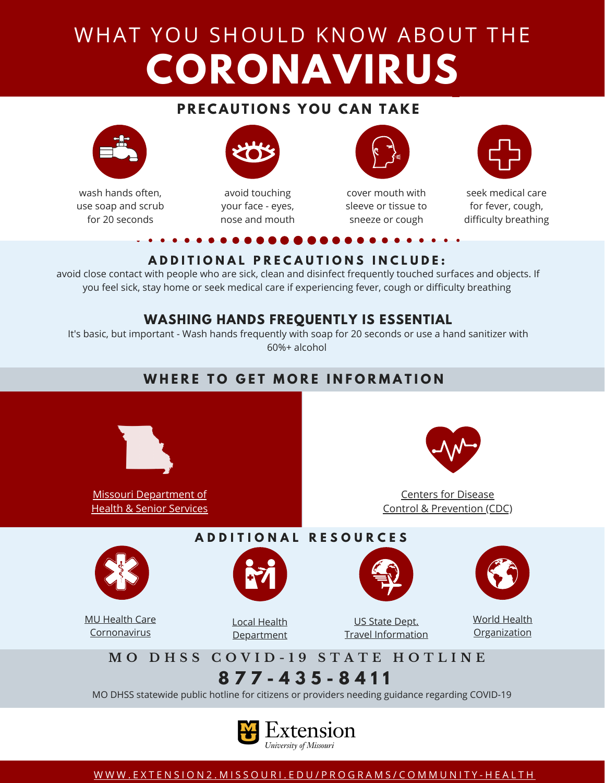## WHAT YOU SHOULD KNOW ABOUT THE **CORONAVIRUS**

#### **PRECAUTIONS YOU CAN TAKE**



wash hands often, use soap and scrub for 20 seconds



avoid touching your face - eyes, nose and mouth



cover mouth with sleeve or tissue to sneeze or cough



seek medical care for fever, cough, difficulty breathing

#### **ADDITIONAL PRECAUTIONS INCLUDE:**

avoid close contact with people who are sick, clean and disinfect frequently touched surfaces and objects. If you feel sick, stay home or seek medical care if experiencing fever, cough or difficulty breathing

#### **WASHING HANDS FREQUENTLY IS ESSENTIAL**

It's basic, but important - Wash hands frequently with soap for 20 seconds or use a hand sanitizer with 60%+ alcohol

#### **W H E R E T O G E T M O R E I N F O R M A T I O N**



Missouri [Department](https://health.mo.gov/living/healthcondiseases/communicable/novel-coronavirus/) of Health & Senior Services



Centers for Disease Control & [Prevention](https://www.cdc.gov/coronavirus/2019-ncov/about/prevention-treatment.html) (CDC)



MU Health Care [Cornonavirus](https://www.muhealth.org/conditions-treatments/medicine/infectious-disease/coronavirus)



Local Health [Department](https://health.mo.gov/living/lpha/lphas.php)

US State Dept. Travel [Information](https://travel.state.gov/content/travel/en/traveladvisories/ea/novel-coronavirus-hubei-province--china.html)



World Health **[Organization](https://www.who.int/emergencies/diseases/novel-coronavirus-2019/advice-for-public)** 

## MO DHSS COVID-19 STATE HOTLINE

**A D D I T I O N A L R E S O U R C E S**

**8 7 7 - 4 3 5 - 8 4 1 1**

MO DHSS statewide public hotline for citizens or providers needing guidance regarding COVID-19



[W](https://extension2.missouri.edu/programs/community-health)WW.EXTENSION2.MISSOURI.EDU/PROGRAMS/COMMUNITY-HEALTH